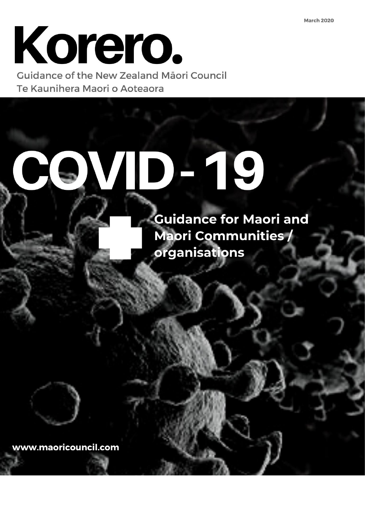# Korero.

Guidance of the New Zealand Māori Council Te Kaunihera Maori o Aoteaora

# DHIC

**Guidance for Maori and Maori Communities /** organisations

www.maoricouncil.com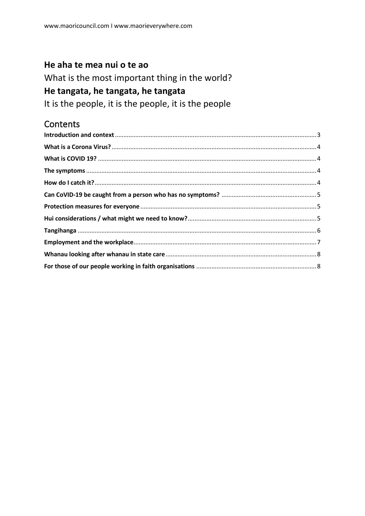#### He aha te mea nui o te ao

What is the most important thing in the world?

#### He tangata, he tangata, he tangata

It is the people, it is the people, it is the people

#### **Contents**

<span id="page-1-0"></span>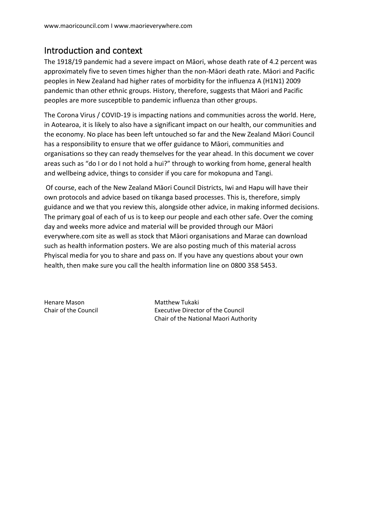#### Introduction and context

The 1918/19 pandemic had a severe impact on Māori, whose death rate of 4.2 percent was approximately five to seven times higher than the non-Māori death rate. Māori and Pacific peoples in New Zealand had higher rates of morbidity for the influenza A (H1N1) 2009 pandemic than other ethnic groups. History, therefore, suggests that Māori and Pacific peoples are more susceptible to pandemic influenza than other groups.

The Corona Virus / COVID-19 is impacting nations and communities across the world. Here, in Aotearoa, it is likely to also have a significant impact on our health, our communities and the economy. No place has been left untouched so far and the New Zealand Māori Council has a responsibility to ensure that we offer guidance to Māori, communities and organisations so they can ready themselves for the year ahead. In this document we cover areas such as "do I or do I not hold a hui?" through to working from home, general health and wellbeing advice, things to consider if you care for mokopuna and Tangi.

Of course, each of the New Zealand Māori Council Districts, Iwi and Hapu will have their own protocols and advice based on tikanga based processes. This is, therefore, simply guidance and we that you review this, alongside other advice, in making informed decisions. The primary goal of each of us is to keep our people and each other safe. Over the coming day and weeks more advice and material will be provided through our Māori everywhere.com site as well as stock that Māori organisations and Marae can download such as health information posters. We are also posting much of this material across Phyiscal media for you to share and pass on. If you have any questions about your own health, then make sure you call the health information line on 0800 358 5453.

<span id="page-2-0"></span>Henare Mason **Matthew Tukaki** 

Chair of the Council Executive Director of the Council Chair of the National Maori Authority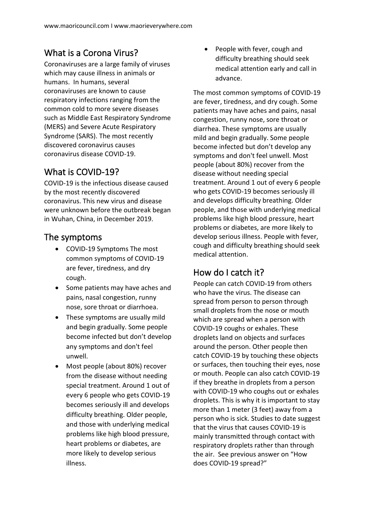## What is a Corona Virus?

Coronaviruses are a large family of viruses which may cause illness in animals or humans. In humans, several coronaviruses are known to cause respiratory infections ranging from the common cold to more severe diseases such as Middle East Respiratory Syndrome (MERS) and Severe Acute Respiratory Syndrome (SARS). The most recently discovered coronavirus causes coronavirus disease COVID-19.

#### <span id="page-3-0"></span>What is COVID-19?

COVID-19 is the infectious disease caused by the most recently discovered coronavirus. This new virus and disease were unknown before the outbreak began in Wuhan, China, in December 2019.

#### <span id="page-3-1"></span>The symptoms

- COVID-19 Symptoms The most common symptoms of COVID-19 are fever, tiredness, and dry cough.
- Some patients may have aches and pains, nasal congestion, runny nose, sore throat or diarrhoea.
- These symptoms are usually mild and begin gradually. Some people become infected but don't develop any symptoms and don't feel unwell.
- Most people (about 80%) recover from the disease without needing special treatment. Around 1 out of every 6 people who gets COVID-19 becomes seriously ill and develops difficulty breathing. Older people, and those with underlying medical problems like high blood pressure, heart problems or diabetes, are more likely to develop serious illness.

• People with fever, cough and difficulty breathing should seek medical attention early and call in advance.

The most common symptoms of COVID-19 are fever, tiredness, and dry cough. Some patients may have aches and pains, nasal congestion, runny nose, sore throat or diarrhea. These symptoms are usually mild and begin gradually. Some people become infected but don't develop any symptoms and don't feel unwell. Most people (about 80%) recover from the disease without needing special treatment. Around 1 out of every 6 people who gets COVID-19 becomes seriously ill and develops difficulty breathing. Older people, and those with underlying medical problems like high blood pressure, heart problems or diabetes, are more likely to develop serious illness. People with fever, cough and difficulty breathing should seek medical attention.

# <span id="page-3-2"></span>How do I catch it?

People can catch COVID-19 from others who have the virus. The disease can spread from person to person through small droplets from the nose or mouth which are spread when a person with COVID-19 coughs or exhales. These droplets land on objects and surfaces around the person. Other people then catch COVID-19 by touching these objects or surfaces, then touching their eyes, nose or mouth. People can also catch COVID-19 if they breathe in droplets from a person with COVID-19 who coughs out or exhales droplets. This is why it is important to stay more than 1 meter (3 feet) away from a person who is sick. Studies to date suggest that the virus that causes COVID-19 is mainly transmitted through contact with respiratory droplets rather than through the air. See previous answer on "How does COVID-19 spread?"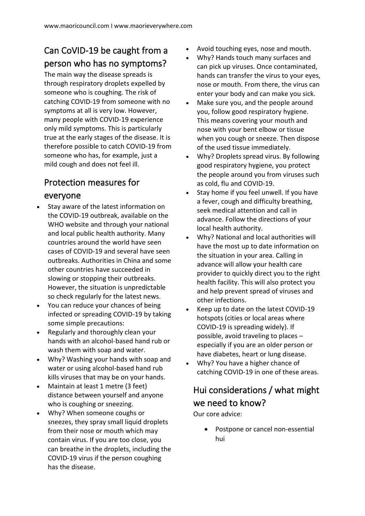# <span id="page-4-0"></span>Can CoVID-19 be caught from a person who has no symptoms?

The main way the disease spreads is through respiratory droplets expelled by someone who is coughing. The risk of catching COVID-19 from someone with no symptoms at all is very low. However, many people with COVID-19 experience only mild symptoms. This is particularly true at the early stages of the disease. It is therefore possible to catch COVID-19 from someone who has, for example, just a mild cough and does not feel ill.

#### <span id="page-4-1"></span>Protection measures for everyone

- Stay aware of the latest information on the COVID-19 outbreak, available on the WHO website and through your national and local public health authority. Many countries around the world have seen cases of COVID-19 and several have seen outbreaks. Authorities in China and some other countries have succeeded in slowing or stopping their outbreaks. However, the situation is unpredictable so check regularly for the latest news.
- You can reduce your chances of being infected or spreading COVID-19 by taking some simple precautions:
- Regularly and thoroughly clean your hands with an alcohol-based hand rub or wash them with soap and water.
- Why? Washing your hands with soap and water or using alcohol-based hand rub kills viruses that may be on your hands.
- Maintain at least 1 metre (3 feet) distance between yourself and anyone who is coughing or sneezing.
- Why? When someone coughs or sneezes, they spray small liquid droplets from their nose or mouth which may contain virus. If you are too close, you can breathe in the droplets, including the COVID-19 virus if the person coughing has the disease.
- Avoid touching eyes, nose and mouth.
- Why? Hands touch many surfaces and can pick up viruses. Once contaminated, hands can transfer the virus to your eyes, nose or mouth. From there, the virus can enter your body and can make you sick.
- Make sure you, and the people around you, follow good respiratory hygiene. This means covering your mouth and nose with your bent elbow or tissue when you cough or sneeze. Then dispose of the used tissue immediately.
- Why? Droplets spread virus. By following good respiratory hygiene, you protect the people around you from viruses such as cold, flu and COVID-19.
- Stay home if you feel unwell. If you have a fever, cough and difficulty breathing, seek medical attention and call in advance. Follow the directions of your local health authority.
- Why? National and local authorities will have the most up to date information on the situation in your area. Calling in advance will allow your health care provider to quickly direct you to the right health facility. This will also protect you and help prevent spread of viruses and other infections.
- Keep up to date on the latest COVID-19 hotspots (cities or local areas where COVID-19 is spreading widely). If possible, avoid traveling to places – especially if you are an older person or have diabetes, heart or lung disease.
- Why? You have a higher chance of catching COVID-19 in one of these areas.

## <span id="page-4-2"></span>Hui considerations / what might we need to know?

Our core advice:

Postpone or cancel non-essential hui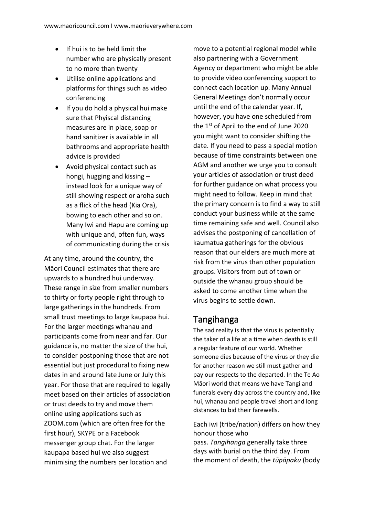- If hui is to be held limit the number who are physically present to no more than twenty
- Utilise online applications and platforms for things such as video conferencing
- If you do hold a physical hui make sure that Phyiscal distancing measures are in place, soap or hand sanitizer is available in all bathrooms and appropriate health advice is provided
- Avoid physical contact such as hongi, hugging and kissing – instead look for a unique way of still showing respect or aroha such as a flick of the head (Kia Ora), bowing to each other and so on. Many Iwi and Hapu are coming up with unique and, often fun, ways of communicating during the crisis

At any time, around the country, the Māori Council estimates that there are upwards to a hundred hui underway. These range in size from smaller numbers to thirty or forty people right through to large gatherings in the hundreds. From small trust meetings to large kaupapa hui. For the larger meetings whanau and participants come from near and far. Our guidance is, no matter the size of the hui, to consider postponing those that are not essential but just procedural to fixing new dates in and around late June or July this year. For those that are required to legally meet based on their articles of association or trust deeds to try and move them online using applications such as ZOOM.com (which are often free for the first hour), SKYPE or a Facebook messenger group chat. For the larger kaupapa based hui we also suggest minimising the numbers per location and

move to a potential regional model while also partnering with a Government Agency or department who might be able to provide video conferencing support to connect each location up. Many Annual General Meetings don't normally occur until the end of the calendar year. If, however, you have one scheduled from the  $1<sup>st</sup>$  of April to the end of June 2020 you might want to consider shifting the date. If you need to pass a special motion because of time constraints between one AGM and another we urge you to consult your articles of association or trust deed for further guidance on what process you might need to follow. Keep in mind that the primary concern is to find a way to still conduct your business while at the same time remaining safe and well. Council also advises the postponing of cancellation of kaumatua gatherings for the obvious reason that our elders are much more at risk from the virus than other population groups. Visitors from out of town or outside the whanau group should be asked to come another time when the virus begins to settle down.

#### <span id="page-5-0"></span>Tangihanga

The sad reality is that the virus is potentially the taker of a life at a time when death is still a regular feature of our world. Whether someone dies because of the virus or they die for another reason we still must gather and pay our respects to the departed. In the Te Ao Māori world that means we have Tangi and funerals every day across the country and, like hui, whanau and people travel short and long distances to bid their farewells.

Each [iwi](https://en.wikipedia.org/wiki/Iwi) (tribe/nation) differs on how they honour those who pass. *Tangihanga* generally take three

days with burial on the third day. From the moment of death, the *tūpāpaku* (body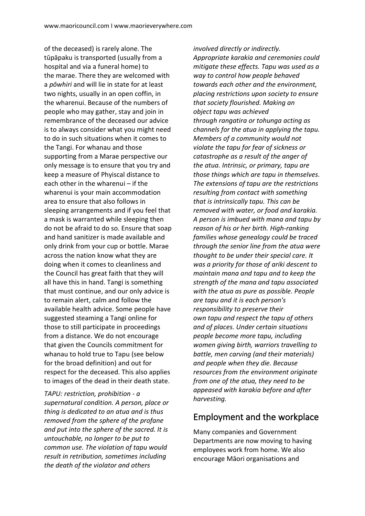of the deceased) is rarely alone. The tūpāpaku is transported (usually from a hospital and via a funeral home) to the [marae.](https://en.wikipedia.org/wiki/Marae) There they are welcomed with a *[pōwhiri](https://en.wikipedia.org/wiki/P%C5%8Dwhiri)* and will [lie in state](https://en.wikipedia.org/wiki/Lying_in_state) for at least two nights, usually in an open coffin, in the [wharenui.](https://en.wikipedia.org/wiki/Wharenui) Because of the numbers of people who may gather, stay and join in remembrance of the deceased our advice is to always consider what you might need to do in such situations when it comes to the Tangi. For whanau and those supporting from a Marae perspective our only message is to ensure that you try and keep a measure of Phyiscal distance to each other in the wharenui – if the wharenui is your main accommodation area to ensure that also follows in sleeping arrangements and if you feel that a mask is warranted while sleeping then do not be afraid to do so. Ensure that soap and hand sanitizer is made available and only drink from your cup or bottle. Marae across the nation know what they are doing when it comes to cleanliness and the Council has great faith that they will all have this in hand. Tangi is something that must continue, and our only advice is to remain alert, calm and follow the available health advice. Some people have suggested steaming a Tangi online for those to still participate in proceedings from a distance. We do not encourage that given the Councils commitment for whanau to hold true to Tapu (see below for the broad definition) and out for respect for the deceased. This also applies to images of the dead in their death state.

*TAPU: restriction, prohibition - a supernatural condition. A person, place or thing is dedicated to an atua and is thus removed from the sphere of the profane and put into the sphere of the sacred. It is untouchable, no longer to be put to common use. The violation of tapu would result in retribution, sometimes including the death of the violator and others* 

*involved directly or indirectly. Appropriate karakia and ceremonies could mitigate these effects. Tapu was used as a way to control how people behaved towards each other and the environment, placing restrictions upon society to ensure that society flourished. Making an object tapu was achieved through rangatira or tohunga acting as channels for the atua in applying the tapu. Members of a community would not violate the tapu for fear of sickness or catastrophe as a result of the anger of the atua. Intrinsic, or primary, tapu are those things which are tapu in themselves. The extensions of tapu are the restrictions resulting from contact with something that is intrinsically tapu. This can be removed with water, or food and karakia. A person is imbued with mana and tapu by reason of his or her birth. High-ranking families whose genealogy could be traced through the senior line from the atua were thought to be under their special care. It was a priority for those of ariki descent to maintain mana and tapu and to keep the strength of the mana and tapu associated with the atua as pure as possible. People are tapu and it is each person's responsibility to preserve their own tapu and respect the tapu of others and of places. Under certain situations people become more tapu, including women giving birth, warriors travelling to battle, men carving (and their materials) and people when they die. Because resources from the environment originate from one of the atua, they need to be appeased with karakia before and after harvesting.* 

#### <span id="page-6-0"></span>Employment and the workplace

Many companies and Government Departments are now moving to having employees work from home. We also encourage Māori organisations and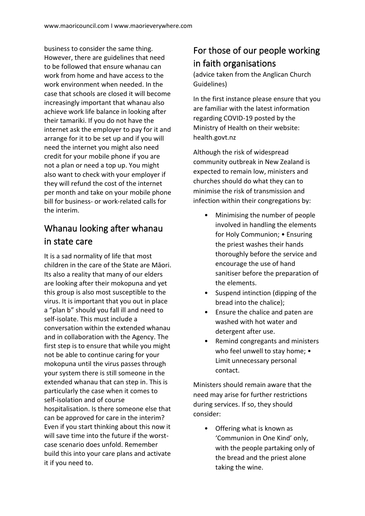business to consider the same thing. However, there are guidelines that need to be followed that ensure whanau can work from home and have access to the work environment when needed. In the case that schools are closed it will become increasingly important that whanau also achieve work life balance in looking after their tamariki. If you do not have the internet ask the employer to pay for it and arrange for it to be set up and if you will need the internet you might also need credit for your mobile phone if you are not a plan or need a top up. You might also want to check with your employer if they will refund the cost of the internet per month and take on your mobile phone bill for business- or work-related calls for the interim.

# <span id="page-7-0"></span>Whanau looking after whanau in state care

It is a sad normality of life that most children in the care of the State are Māori. Its also a reality that many of our elders are looking after their mokopuna and yet this group is also most susceptible to the virus. It is important that you out in place a "plan b" should you fall ill and need to self-isolate. This must include a conversation within the extended whanau and in collaboration with the Agency. The first step is to ensure that while you might not be able to continue caring for your mokopuna until the virus passes through your system there is still someone in the extended whanau that can step in. This is particularly the case when it comes to self-isolation and of course hospitalisation. Is there someone else that can be approved for care in the interim? Even if you start thinking about this now it will save time into the future if the worstcase scenario does unfold. Remember build this into your care plans and activate it if you need to.

# <span id="page-7-1"></span>For those of our people working in faith organisations

(advice taken from the Anglican Church Guidelines)

In the first instance please ensure that you are familiar with the latest information regarding COVID-19 posted by the Ministry of Health on their website: health.govt.nz

Although the risk of widespread community outbreak in New Zealand is expected to remain low, ministers and churches should do what they can to minimise the risk of transmission and infection within their congregations by:

- Minimising the number of people involved in handling the elements for Holy Communion; • Ensuring the priest washes their hands thoroughly before the service and encourage the use of hand sanitiser before the preparation of the elements.
- Suspend intinction (dipping of the bread into the chalice);
- Ensure the chalice and paten are washed with hot water and detergent after use.
- Remind congregants and ministers who feel unwell to stay home; • Limit unnecessary personal contact.

Ministers should remain aware that the need may arise for further restrictions during services. If so, they should consider:

• Offering what is known as 'Communion in One Kind' only, with the people partaking only of the bread and the priest alone taking the wine.